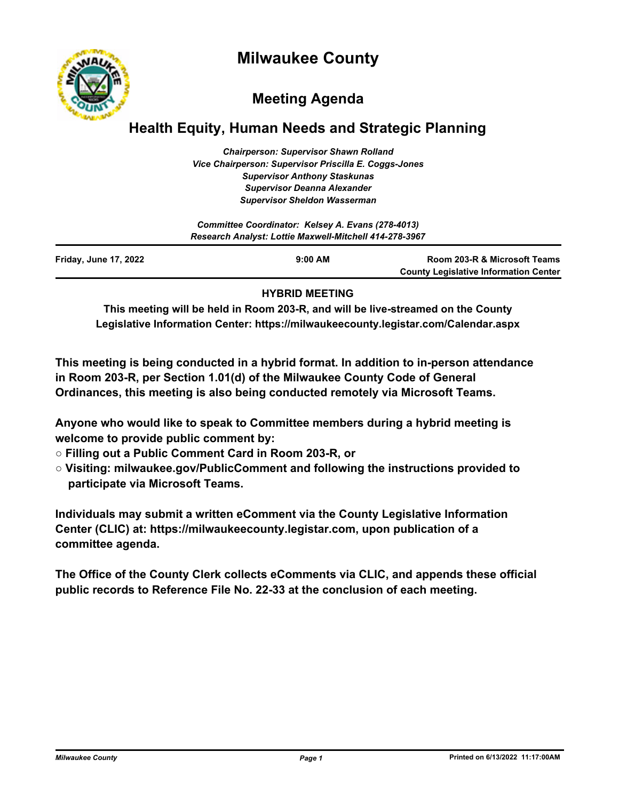# **Milwaukee County**



# **Meeting Agenda**

# **Health Equity, Human Needs and Strategic Planning**

*Chairperson: Supervisor Shawn Rolland Vice Chairperson: Supervisor Priscilla E. Coggs-Jones Supervisor Anthony Staskunas Supervisor Deanna Alexander Supervisor Sheldon Wasserman*

| Committee Coordinator: Kelsey A. Evans (278-4013)<br>Research Analyst: Lottie Maxwell-Mitchell 414-278-3967 |           |                                                                              |
|-------------------------------------------------------------------------------------------------------------|-----------|------------------------------------------------------------------------------|
| <b>Friday, June 17, 2022</b>                                                                                | $9:00$ AM | Room 203-R & Microsoft Teams<br><b>County Legislative Information Center</b> |

### **HYBRID MEETING**

**This meeting will be held in Room 203-R, and will be live-streamed on the County Legislative Information Center: https://milwaukeecounty.legistar.com/Calendar.aspx**

**This meeting is being conducted in a hybrid format. In addition to in-person attendance in Room 203-R, per Section 1.01(d) of the Milwaukee County Code of General Ordinances, this meeting is also being conducted remotely via Microsoft Teams.**

**Anyone who would like to speak to Committee members during a hybrid meeting is welcome to provide public comment by:**

- **Filling out a Public Comment Card in Room 203-R, or**
- **Visiting: milwaukee.gov/PublicComment and following the instructions provided to participate via Microsoft Teams.**

**Individuals may submit a written eComment via the County Legislative Information Center (CLIC) at: https://milwaukeecounty.legistar.com, upon publication of a committee agenda.**

**The Office of the County Clerk collects eComments via CLIC, and appends these official public records to Reference File No. 22-33 at the conclusion of each meeting.**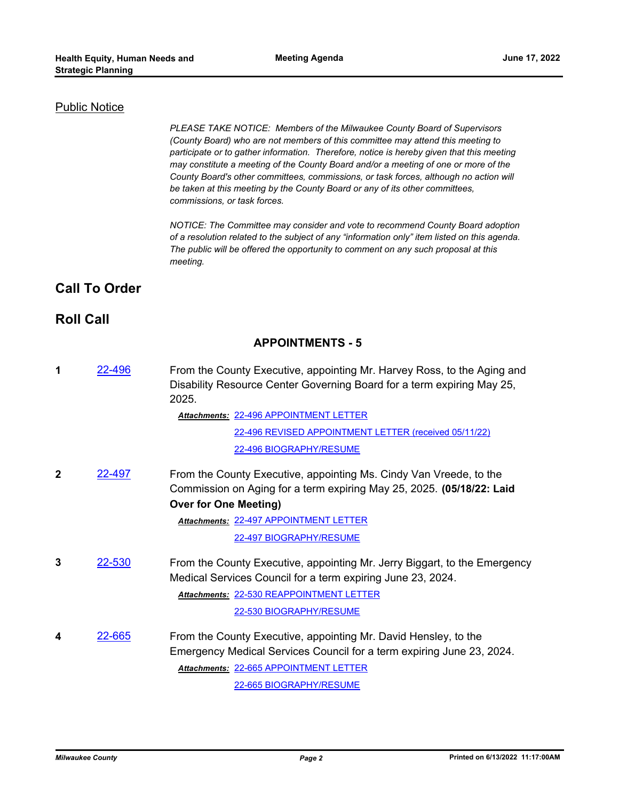### Public Notice

*PLEASE TAKE NOTICE: Members of the Milwaukee County Board of Supervisors (County Board) who are not members of this committee may attend this meeting to participate or to gather information. Therefore, notice is hereby given that this meeting may constitute a meeting of the County Board and/or a meeting of one or more of the County Board's other committees, commissions, or task forces, although no action will be taken at this meeting by the County Board or any of its other committees, commissions, or task forces.*

*NOTICE: The Committee may consider and vote to recommend County Board adoption of a resolution related to the subject of any "information only" item listed on this agenda. The public will be offered the opportunity to comment on any such proposal at this meeting.*

# **Call To Order**

# **Roll Call**

# **APPOINTMENTS - 5**

**1** [22-496](http://milwaukeecounty.legistar.com/gateway.aspx?m=l&id=/matter.aspx?key=12153) From the County Executive, appointing Mr. Harvey Ross, to the Aging and Disability Resource Center Governing Board for a term expiring May 25, 2025.

[22-496 APPOINTMENT LETTER](http://MilwaukeeCounty.legistar.com/gateway.aspx?M=F&ID=3aa361e7-f126-4432-9890-a5e6b06921cd.pdf) *Attachments:*

[22-496 REVISED APPOINTMENT LETTER \(received 05/11/22\)](http://MilwaukeeCounty.legistar.com/gateway.aspx?M=F&ID=286e928d-38b3-4f1a-89ec-8c5cddae2a44.pdf) [22-496 BIOGRAPHY/RESUME](http://MilwaukeeCounty.legistar.com/gateway.aspx?M=F&ID=1b3781e0-d2bd-454a-8379-2402f46085cc.pdf)

**2** [22-497](http://milwaukeecounty.legistar.com/gateway.aspx?m=l&id=/matter.aspx?key=12154) From the County Executive, appointing Ms. Cindy Van Vreede, to the Commission on Aging for a term expiring May 25, 2025. **(05/18/22: Laid Over for One Meeting)**

[22-497 APPOINTMENT LETTER](http://MilwaukeeCounty.legistar.com/gateway.aspx?M=F&ID=3d79acd6-565b-4db6-aabf-2e3d17107d9f.pdf) *Attachments:*

[22-497 BIOGRAPHY/RESUME](http://MilwaukeeCounty.legistar.com/gateway.aspx?M=F&ID=ddaa78d9-256e-4ac5-b3ce-41105c8efe40.pdf)

**3** [22-530](http://milwaukeecounty.legistar.com/gateway.aspx?m=l&id=/matter.aspx?key=12190) From the County Executive, appointing Mr. Jerry Biggart, to the Emergency Medical Services Council for a term expiring June 23, 2024. [22-530 REAPPOINTMENT LETTER](http://MilwaukeeCounty.legistar.com/gateway.aspx?M=F&ID=e1c081c6-b8c5-46a8-9283-c4043557515e.pdf) *Attachments:*

[22-530 BIOGRAPHY/RESUME](http://MilwaukeeCounty.legistar.com/gateway.aspx?M=F&ID=be27215e-6d25-4bd9-91c9-4b9502cbe954.pdf)

**4** [22-665](http://milwaukeecounty.legistar.com/gateway.aspx?m=l&id=/matter.aspx?key=12363) From the County Executive, appointing Mr. David Hensley, to the Emergency Medical Services Council for a term expiring June 23, 2024. [22-665 APPOINTMENT LETTER](http://MilwaukeeCounty.legistar.com/gateway.aspx?M=F&ID=129567fb-f8a2-44dc-8b95-c857e029c8d0.pdf) *Attachments:* [22-665 BIOGRAPHY/RESUME](http://MilwaukeeCounty.legistar.com/gateway.aspx?M=F&ID=d4c99993-ebe3-4361-be6f-2bcf8768ec76.pdf)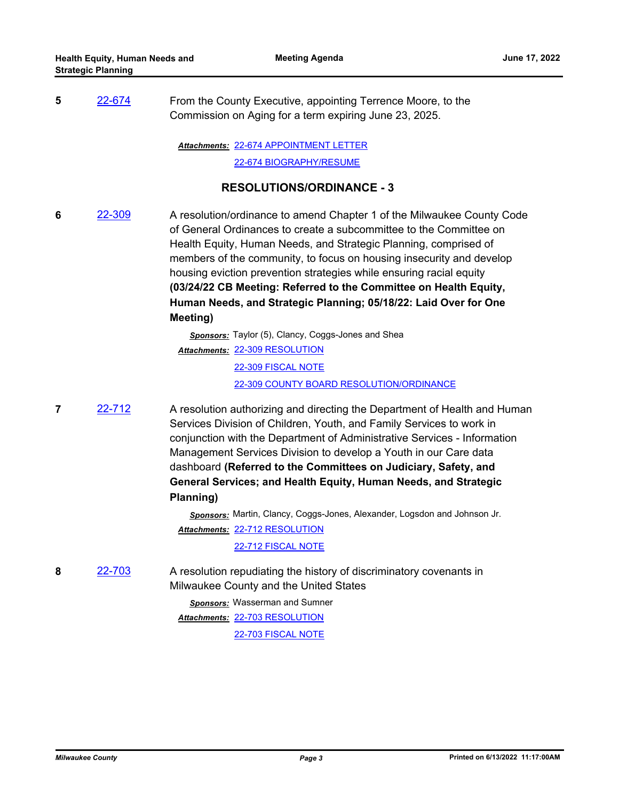**5** [22-674](http://milwaukeecounty.legistar.com/gateway.aspx?m=l&id=/matter.aspx?key=12372) From the County Executive, appointing Terrence Moore, to the Commission on Aging for a term expiring June 23, 2025.

[22-674 APPOINTMENT LETTER](http://MilwaukeeCounty.legistar.com/gateway.aspx?M=F&ID=f775269f-6cfb-4751-bd79-5e8ce521fd67.pdf) *Attachments:*

[22-674 BIOGRAPHY/RESUME](http://MilwaukeeCounty.legistar.com/gateway.aspx?M=F&ID=506d4eac-4c9e-4fb4-abea-7355947ab924.pdf)

# **RESOLUTIONS/ORDINANCE - 3**

**6** [22-309](http://milwaukeecounty.legistar.com/gateway.aspx?m=l&id=/matter.aspx?key=11917) A resolution/ordinance to amend Chapter 1 of the Milwaukee County Code of General Ordinances to create a subcommittee to the Committee on Health Equity, Human Needs, and Strategic Planning, comprised of members of the community, to focus on housing insecurity and develop housing eviction prevention strategies while ensuring racial equity **(03/24/22 CB Meeting: Referred to the Committee on Health Equity, Human Needs, and Strategic Planning; 05/18/22: Laid Over for One Meeting)**

> *Sponsors:* Taylor (5), Clancy, Coggs-Jones and Shea [22-309 RESOLUTION](http://MilwaukeeCounty.legistar.com/gateway.aspx?M=F&ID=908ac4eb-d5bd-49a4-8997-f07c5b4897c0.docx) *Attachments:* [22-309 FISCAL NOTE](http://MilwaukeeCounty.legistar.com/gateway.aspx?M=F&ID=be5d833a-70a9-4f94-b343-aaa09d238809.pdf) [22-309 COUNTY BOARD RESOLUTION/ORDINANCE](http://MilwaukeeCounty.legistar.com/gateway.aspx?M=F&ID=bb206fcb-0028-4825-b68b-7f7ca23e07dd.pdf)

**7** [22-712](http://milwaukeecounty.legistar.com/gateway.aspx?m=l&id=/matter.aspx?key=12411) A resolution authorizing and directing the Department of Health and Human Services Division of Children, Youth, and Family Services to work in conjunction with the Department of Administrative Services - Information Management Services Division to develop a Youth in our Care data dashboard **(Referred to the Committees on Judiciary, Safety, and General Services; and Health Equity, Human Needs, and Strategic Planning)**

> *Sponsors:* Martin, Clancy, Coggs-Jones, Alexander, Logsdon and Johnson Jr. [22-712 RESOLUTION](http://MilwaukeeCounty.legistar.com/gateway.aspx?M=F&ID=dd78eaf1-c607-4ef5-9595-748ac663e145.docx) *Attachments:*

> > [22-712 FISCAL NOTE](http://MilwaukeeCounty.legistar.com/gateway.aspx?M=F&ID=1ef08ae8-561f-41bb-87bf-af01b345001d.pdf)

**8** [22-703](http://milwaukeecounty.legistar.com/gateway.aspx?m=l&id=/matter.aspx?key=12402) A resolution repudiating the history of discriminatory covenants in Milwaukee County and the United States

> *Sponsors:* Wasserman and Sumner [22-703 RESOLUTION](http://MilwaukeeCounty.legistar.com/gateway.aspx?M=F&ID=2da3d02c-deb0-4d5d-92c7-e3289c34568e.docx) *Attachments:* [22-703 FISCAL NOTE](http://MilwaukeeCounty.legistar.com/gateway.aspx?M=F&ID=e1334af0-14e6-470b-83f8-fd7a70ba2617.pdf)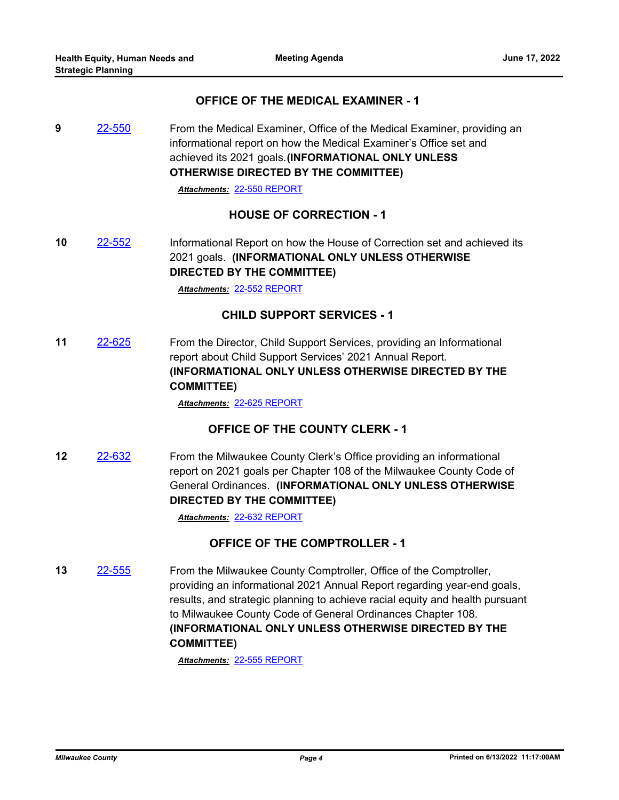## **OFFICE OF THE MEDICAL EXAMINER - 1**

**9** [22-550](http://milwaukeecounty.legistar.com/gateway.aspx?m=l&id=/matter.aspx?key=12210) From the Medical Examiner, Office of the Medical Examiner, providing an informational report on how the Medical Examiner's Office set and achieved its 2021 goals.**(INFORMATIONAL ONLY UNLESS OTHERWISE DIRECTED BY THE COMMITTEE)**

*Attachments:* [22-550 REPORT](http://MilwaukeeCounty.legistar.com/gateway.aspx?M=F&ID=df4160cb-8a34-49c4-a21a-64ed5b854132.pdf)

# **HOUSE OF CORRECTION - 1**

**10** [22-552](http://milwaukeecounty.legistar.com/gateway.aspx?m=l&id=/matter.aspx?key=12212) Informational Report on how the House of Correction set and achieved its 2021 goals. **(INFORMATIONAL ONLY UNLESS OTHERWISE DIRECTED BY THE COMMITTEE)**

*Attachments:* [22-552 REPORT](http://MilwaukeeCounty.legistar.com/gateway.aspx?M=F&ID=e7f62ae3-1988-417d-974b-8328b14a48d0.pdf)

### **CHILD SUPPORT SERVICES - 1**

**11** [22-625](http://milwaukeecounty.legistar.com/gateway.aspx?m=l&id=/matter.aspx?key=12285) From the Director, Child Support Services, providing an Informational report about Child Support Services' 2021 Annual Report. **(INFORMATIONAL ONLY UNLESS OTHERWISE DIRECTED BY THE COMMITTEE)**

*Attachments:* [22-625 REPORT](http://MilwaukeeCounty.legistar.com/gateway.aspx?M=F&ID=06162950-68a6-4039-8915-1aaa99072cd5.pdf)

# **OFFICE OF THE COUNTY CLERK - 1**

**12** [22-632](http://milwaukeecounty.legistar.com/gateway.aspx?m=l&id=/matter.aspx?key=12297) From the Milwaukee County Clerk's Office providing an informational report on 2021 goals per Chapter 108 of the Milwaukee County Code of General Ordinances. **(INFORMATIONAL ONLY UNLESS OTHERWISE DIRECTED BY THE COMMITTEE)** 

*Attachments:* [22-632 REPORT](http://MilwaukeeCounty.legistar.com/gateway.aspx?M=F&ID=ef1c6995-c088-4cdc-966e-84fe195c2948.pdf)

# **OFFICE OF THE COMPTROLLER - 1**

**13** [22-555](http://milwaukeecounty.legistar.com/gateway.aspx?m=l&id=/matter.aspx?key=12215) From the Milwaukee County Comptroller, Office of the Comptroller, providing an informational 2021 Annual Report regarding year-end goals, results, and strategic planning to achieve racial equity and health pursuant to Milwaukee County Code of General Ordinances Chapter 108. **(INFORMATIONAL ONLY UNLESS OTHERWISE DIRECTED BY THE COMMITTEE)**

*Attachments:* [22-555 REPORT](http://MilwaukeeCounty.legistar.com/gateway.aspx?M=F&ID=11edbde2-a024-460f-a8b0-73409852fc26.pdf)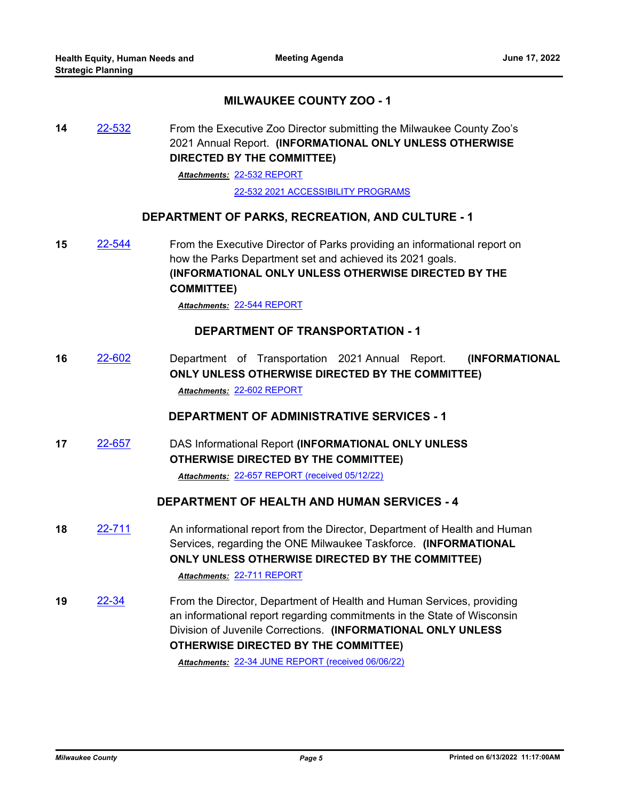# **MILWAUKEE COUNTY ZOO - 1**

**14** [22-532](http://milwaukeecounty.legistar.com/gateway.aspx?m=l&id=/matter.aspx?key=12192) From the Executive Zoo Director submitting the Milwaukee County Zoo's 2021 Annual Report. **(INFORMATIONAL ONLY UNLESS OTHERWISE DIRECTED BY THE COMMITTEE)**

[22-532 REPORT](http://MilwaukeeCounty.legistar.com/gateway.aspx?M=F&ID=60f4ce76-456a-4b26-a9b3-151d87a4383c.pdf) *Attachments:*

[22-532 2021 ACCESSIBILITY PROGRAMS](http://MilwaukeeCounty.legistar.com/gateway.aspx?M=F&ID=db156347-b554-4a18-987d-e8b05c844714.pdf)

### **DEPARTMENT OF PARKS, RECREATION, AND CULTURE - 1**

**15** [22-544](http://milwaukeecounty.legistar.com/gateway.aspx?m=l&id=/matter.aspx?key=12204) From the Executive Director of Parks providing an informational report on how the Parks Department set and achieved its 2021 goals. **(INFORMATIONAL ONLY UNLESS OTHERWISE DIRECTED BY THE COMMITTEE)**

*Attachments:* [22-544 REPORT](http://MilwaukeeCounty.legistar.com/gateway.aspx?M=F&ID=f5c7b4e3-872a-464c-8bbf-169f7468ebd7.pdf)

#### **DEPARTMENT OF TRANSPORTATION - 1**

**16** [22-602](http://milwaukeecounty.legistar.com/gateway.aspx?m=l&id=/matter.aspx?key=12262) Department of Transportation 2021 Annual Report. **(INFORMATIONAL ONLY UNLESS OTHERWISE DIRECTED BY THE COMMITTEE)** *Attachments:* [22-602 REPORT](http://MilwaukeeCounty.legistar.com/gateway.aspx?M=F&ID=317ed6e2-ed4a-444c-9960-6af5ee954f72.pdf)

#### **DEPARTMENT OF ADMINISTRATIVE SERVICES - 1**

**17** [22-657](http://milwaukeecounty.legistar.com/gateway.aspx?m=l&id=/matter.aspx?key=12351) DAS Informational Report **(INFORMATIONAL ONLY UNLESS OTHERWISE DIRECTED BY THE COMMITTEE)**

*Attachments:* [22-657 REPORT \(received 05/12/22\)](http://MilwaukeeCounty.legistar.com/gateway.aspx?M=F&ID=ff3e6cd9-7f59-4cf2-b64c-372ff502075c.docx)

### **DEPARTMENT OF HEALTH AND HUMAN SERVICES - 4**

- **18** [22-711](http://milwaukeecounty.legistar.com/gateway.aspx?m=l&id=/matter.aspx?key=12410) An informational report from the Director, Department of Health and Human Services, regarding the ONE Milwaukee Taskforce. **(INFORMATIONAL ONLY UNLESS OTHERWISE DIRECTED BY THE COMMITTEE)** *Attachments:* [22-711 REPORT](http://MilwaukeeCounty.legistar.com/gateway.aspx?M=F&ID=085aa2db-3810-46bf-91c4-f7fbb9f2b66d.pdf)
- **19** [22-34](http://milwaukeecounty.legistar.com/gateway.aspx?m=l&id=/matter.aspx?key=11856) From the Director, Department of Health and Human Services, providing an informational report regarding commitments in the State of Wisconsin Division of Juvenile Corrections. **(INFORMATIONAL ONLY UNLESS OTHERWISE DIRECTED BY THE COMMITTEE)**

*Attachments:* [22-34 JUNE REPORT \(received 06/06/22\)](http://MilwaukeeCounty.legistar.com/gateway.aspx?M=F&ID=4113ec17-7135-4ef1-9ebc-ab475f1e8247.pdf)